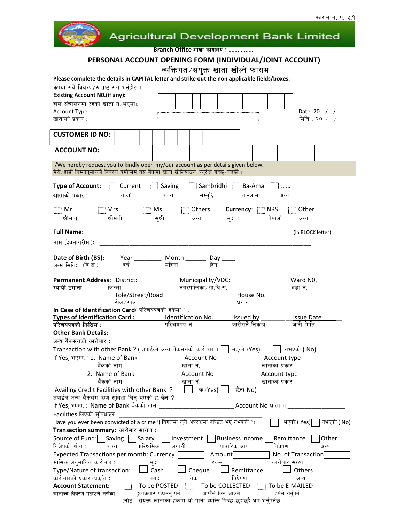



Branch Office शाखा कार्यालय : .................

# PERSONAL ACCOUNT OPENING FORM (INDIVIDUAL/JOINT ACCOUNT)

व्यक्तिगत/संयुक्त खाता खोल्ने फाराम<br>Please complete the details in CAPITAL letter and strike out the non applicable fields/boxes.

| <b>Existing Account N0.(if any):</b>                                                                                                                                          |  |
|-------------------------------------------------------------------------------------------------------------------------------------------------------------------------------|--|
| हाल संचालनमा रहेको खाता नं (भएमा):                                                                                                                                            |  |
| Account Type:<br>Date: 20 / /                                                                                                                                                 |  |
| खाताको प्रकार :<br>मिति : २० $\angle$ /                                                                                                                                       |  |
|                                                                                                                                                                               |  |
| <b>CUSTOMER ID NO:</b>                                                                                                                                                        |  |
|                                                                                                                                                                               |  |
| <b>ACCOUNT NO:</b>                                                                                                                                                            |  |
|                                                                                                                                                                               |  |
| I/We hereby request you to kindly open my/our account as per details given below.                                                                                             |  |
| मेरो/हाम्रो निम्नानुसारको विबरण बमोजिम यस बैंकमा खाता खोलिपाउन अनुरोध गर्दछ/गर्दछौं।                                                                                          |  |
|                                                                                                                                                                               |  |
| <b>Type of Account:</b> $\Box$ Current $\Box$ Saving $\Box$ Sambridhi $\Box$ Ba-Ama $\Box$                                                                                    |  |
| खाताको प्रकार :                                                                                                                                                               |  |
| चल्ती  बचत सम्बृद्धि बा-आमा<br>अन्य                                                                                                                                           |  |
|                                                                                                                                                                               |  |
| $\Box$ Mr. $\Box$ Mrs. $\Box$ Ms. $\Box$ Others <b>Currency</b> : $\Box$ NRS. $\Box$ Other                                                                                    |  |
| .<br>श्रीमान् श्रीमती सुश्री अन्य मुद्रा : नेपाली<br>अन्य                                                                                                                     |  |
|                                                                                                                                                                               |  |
| <b>Full Name:</b>                                                                                                                                                             |  |
| नाम (देवनागरीमा):                                                                                                                                                             |  |
|                                                                                                                                                                               |  |
|                                                                                                                                                                               |  |
|                                                                                                                                                                               |  |
|                                                                                                                                                                               |  |
| Permanent Address: District: Municipality/VDC:<br>Ward N0.                                                                                                                    |  |
| नगरपालिका ∕ गा.वि.स.<br>स्थायी ठेगाना :<br>जिल्ला<br>वडा नं                                                                                                                   |  |
| Tole/Street/Road<br>House No.                                                                                                                                                 |  |
| टोल ∕ गांउ<br>घर नं.                                                                                                                                                          |  |
| In Case of Identification Card (परिचयपत्रको हकमा ) :                                                                                                                          |  |
| Types of Identification Card: Identification No. Issued by Issue Date                                                                                                         |  |
|                                                                                                                                                                               |  |
|                                                                                                                                                                               |  |
| जारीगर्ने निकाय<br>परिचयपत्रको किसिम :<br>परिचयपत्र नं<br>जारी मिति                                                                                                           |  |
| <b>Other Bank Details:</b>                                                                                                                                                    |  |
| अन्य बैंकसंगको कारोबार :                                                                                                                                                      |  |
| Transaction with other Bank ? ( तपाईको अन्य बैंकसंगको कारोबार ) $\Box$ भएको (Yes) $\Box$ नभएको ( No)                                                                          |  |
|                                                                                                                                                                               |  |
| बैंकको नाम<br>खाताको प्रकार<br>खाता नं.                                                                                                                                       |  |
|                                                                                                                                                                               |  |
|                                                                                                                                                                               |  |
| बैंकको नाम                                                                                                                                                                    |  |
| छैन( No)<br>Availing Credit Facilities with other Bank?<br>छ (Yes) <u> </u>  <br>$\mathbf{I}$                                                                                 |  |
| तपाईले अन्य बैंकसंग ऋण सुबिधा लिनु भएको छ छैन ?                                                                                                                               |  |
| If Yes, भएमा, : Name of Bank बैंकको नाम<br>Account No खाता नं                                                                                                                 |  |
| Facilities लिएको सुविधाहरु :__                                                                                                                                                |  |
| Have you ever been convicted of a crime?( विगतमा कुनै अपराधमा दण्डित भए नभएको ?)<br>भएको (Yes)[<br>नभएको ( No)                                                                |  |
| Transaction summary: कारोबार सारांश :                                                                                                                                         |  |
| Source of Fund: Saving<br>Salary<br>Investment  <br>Business Income<br>Other<br>Remittance                                                                                    |  |
| पारिश्रमिक<br>निक्षेपको श्रोत :<br>व्यापारिक आय<br>विप्रेषण<br>लगानी<br>बचत<br>अन्य                                                                                           |  |
| Amount<br>No. of Transaction                                                                                                                                                  |  |
| <b>Expected Transactions per month: Currency</b><br>रकम                                                                                                                       |  |
| मासिक अनुमानित कारोबार :<br>कारोबार संख्या<br>मुद्रा                                                                                                                          |  |
| Others<br>Type/Nature of transaction:<br>Cash<br>Cheque<br>Remittance                                                                                                         |  |
| कारोबारको प्रकार ⁄ प्रकृति :<br>विप्रेषण<br>नगद<br>चेक<br>अन्य                                                                                                                |  |
| O<br><b>Account Statement:</b><br>To be POSTED<br>To be COLLECTED<br>$\begin{bmatrix} 1 & 1 \end{bmatrix}$ To be E-MAILED                                                     |  |
| आफैंले लिन आउने<br>खाताको विवरण पठाउने तरीका :<br>हुलाकवाट पठाउनु पर्ने<br>इमेल गर्नुपर्ने<br>(नोट : सयुक्त खाताको हकमा यो पाना व्यक्ति पिच्छे छुट्टाछुट्टै थप भर्नुपर्नेछ ।) |  |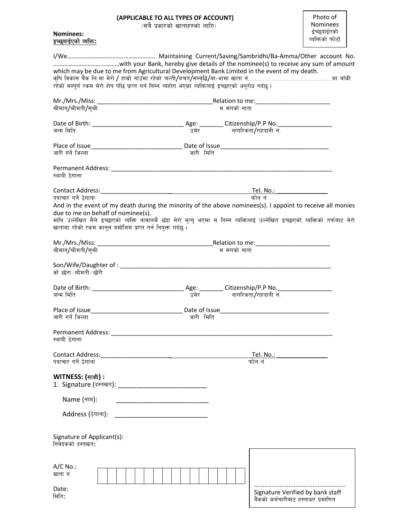## (APPLICABLE TO ALL TYPES OF ACCOUNT)

 $\bar{z}$ (सबै प्रकारको खाताहरुको लागि)

### Nominees:  $\frac{1}{2}$ क्युयाईएको व्यक्ति:

| which may be due to me from Agricultural Development Bank Limited in the event of my death.                                                                                                 |                                                      |                          |                                       |  |
|---------------------------------------------------------------------------------------------------------------------------------------------------------------------------------------------|------------------------------------------------------|--------------------------|---------------------------------------|--|
| रहेको सम्पूर्ण रकम मेरो शेष पछि प्राप्त गर्न निम्न व्यहोरा भएका व्यक्तिलाई इच्छाएको अनुरोध गर्दछ।                                                                                           |                                                      |                          |                                       |  |
|                                                                                                                                                                                             |                                                      |                          |                                       |  |
|                                                                                                                                                                                             |                                                      |                          |                                       |  |
| श्रीमान्/श्रीमती/सुश्री                                                                                                                                                                     |                                                      | म संगको नाता             |                                       |  |
|                                                                                                                                                                                             |                                                      |                          |                                       |  |
| जन्म मिति                                                                                                                                                                                   |                                                      | उमेर नागरिकता/राहदानी नं |                                       |  |
|                                                                                                                                                                                             |                                                      |                          |                                       |  |
| जारी गर्ने जिल्ला                                                                                                                                                                           | जारी मिति                                            |                          |                                       |  |
|                                                                                                                                                                                             |                                                      |                          |                                       |  |
|                                                                                                                                                                                             |                                                      |                          |                                       |  |
| स्थायी ठेगाना                                                                                                                                                                               |                                                      |                          |                                       |  |
|                                                                                                                                                                                             |                                                      |                          |                                       |  |
| पत्राचार गर्ने ठेगाना                                                                                                                                                                       |                                                      |                          |                                       |  |
| And in the event of my death during the minority of the above nominees(s). I appoint to receive all monies                                                                                  |                                                      |                          |                                       |  |
| due to me on behalf of nominee(s).                                                                                                                                                          |                                                      |                          |                                       |  |
| माथि उल्लेखित मैले इच्छाएको व्यक्ति नावालकै छँदा मेरो मृत्यु भएमा म निम्न व्यक्तिलाई उल्लेखित इच्छाएको व्यक्तिको तर्फबाट मेरो<br>खातामा रहेको रकम कानून बमोजिम प्राप्त गर्न नियुक्त गर्दछ । |                                                      |                          |                                       |  |
|                                                                                                                                                                                             |                                                      |                          |                                       |  |
|                                                                                                                                                                                             |                                                      |                          |                                       |  |
| श्रीमान्/श्रीमती/सुश्री                                                                                                                                                                     |                                                      | म संगको नाता             |                                       |  |
| को छोरा∕श्रीमती∕छोरी                                                                                                                                                                        |                                                      |                          |                                       |  |
|                                                                                                                                                                                             |                                                      |                          |                                       |  |
| जन्म मिति                                                                                                                                                                                   | उमेर                                                 |                          | नागरिकता/राहदानी नं.                  |  |
|                                                                                                                                                                                             |                                                      |                          |                                       |  |
| Place of Issue <b>Date of Issue</b> Date of Issue <b>Date of Issue</b>                                                                                                                      |                                                      |                          |                                       |  |
| जारी गर्ने जिल्ला                                                                                                                                                                           | जारी मिति                                            |                          |                                       |  |
| Permanent Address: __________<br>स्थायी ठेगाना                                                                                                                                              |                                                      |                          |                                       |  |
|                                                                                                                                                                                             |                                                      |                          |                                       |  |
| Contact Address:<br>पत्राचार गर्ने ठेगाना                                                                                                                                                   |                                                      |                          | Tel. No.:<br>फोन नं                   |  |
|                                                                                                                                                                                             |                                                      |                          |                                       |  |
| WITNESS: (साक्षी) :                                                                                                                                                                         |                                                      |                          |                                       |  |
|                                                                                                                                                                                             |                                                      |                          |                                       |  |
| Name (नाम):                                                                                                                                                                                 | <u> 1980 - Jan Barnett, fransk politik (d. 1980)</u> |                          |                                       |  |
|                                                                                                                                                                                             |                                                      |                          |                                       |  |
| Address (ठेगाना): ___________________________________                                                                                                                                       |                                                      |                          |                                       |  |
|                                                                                                                                                                                             |                                                      |                          |                                       |  |
| Signature of Applicant(s):                                                                                                                                                                  |                                                      |                          |                                       |  |
| निवेदकको दस्तखत:                                                                                                                                                                            |                                                      |                          |                                       |  |
|                                                                                                                                                                                             |                                                      |                          |                                       |  |
| $A/C$ No.:                                                                                                                                                                                  |                                                      |                          |                                       |  |
| खाता नं.                                                                                                                                                                                    |                                                      |                          |                                       |  |
|                                                                                                                                                                                             |                                                      |                          |                                       |  |
| Date:<br>मिति:                                                                                                                                                                              |                                                      |                          | Signature Verified by bank staff      |  |
|                                                                                                                                                                                             |                                                      |                          | बैंकको कर्मचारीवाट हस्ताक्षर प्रमाणित |  |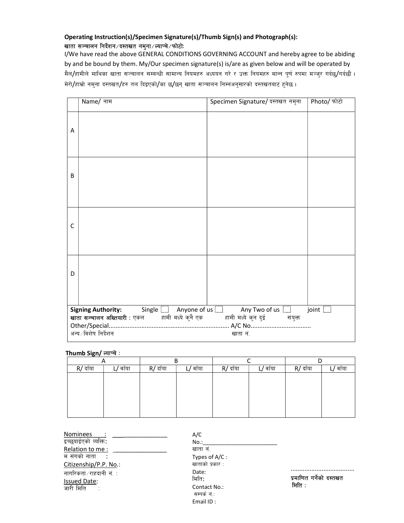## Operating Instruction(s)/Specimen Signature(s)/Thumb Sign(s) and Photograph(s): खाता सञ्चालन निर्देशन/दस्तखत नमुना/ल्याप्चे/फोटोः

I/We have read the above GENERAL CONDITIONS GOVERNING ACCOUNT and hereby agree to be abiding by and be bound by them. My/Our specimen signature(s) is/are as given below and will be operated by मैल/हामीले माथिका खाता सञ्चालन सम्बन्धी सामान्य नियमहरु अध्ययन गरे र उक्त नियमहरु मान्न पूर्ण रुपमा मञ्जुर गर्दछ/गर्दछौं । मेरो/हाम्रो नम्ना दस्तखत/हरु तल दिइएको/का छ/छन् खाता सञ्चालन निम्नअनुसारको दस्तखतबाट हुनेछ।

|   | Name/ नाम                                                                                                                                  | Specimen Signature/ दस्तखत नमुना | Photo/ फोटो  |
|---|--------------------------------------------------------------------------------------------------------------------------------------------|----------------------------------|--------------|
| Α |                                                                                                                                            |                                  |              |
| B |                                                                                                                                            |                                  |              |
| C |                                                                                                                                            |                                  |              |
| D |                                                                                                                                            |                                  |              |
|   | Signing Authority: Single   Anyone of us   Any Two of us    <br>खाता सञ्चालन अख्तियारी : एकल हामी मध्ये कुनै एक हामी मध्ये कुन दुई संयुक्त |                                  | joint $\Box$ |
|   |                                                                                                                                            |                                  |              |
|   | अन्य ∕विशेष निर्देशन                                                                                                                       | खाता नं.                         |              |

Thumb Sign/ ल्याप्चे:

| $\sim$   |                |          |       |            |          |          |         |
|----------|----------------|----------|-------|------------|----------|----------|---------|
| R/ दाँया | <u>'</u> बाँया | R/ दाँया | वाँया | $R/$ दाँया | _/ वाँया | R/ दाँया | ं वाँया |
|          |                |          |       |            |          |          |         |
|          |                |          |       |            |          |          |         |
|          |                |          |       |            |          |          |         |
|          |                |          |       |            |          |          |         |
|          |                |          |       |            |          |          |         |
|          |                |          |       |            |          |          |         |

Nominees इच्छयाईएको व्यक्ति: Relation to me: म संगको नाता : Citizenship/P.P. No.: नागरिकता $\sqrt{3}$ ाहदानी $|\vec{\tau}_\text{c}|\leq 1$ Issued Date: जारी मिति :

A/C  $No.:$ खाता नं. Types of A/C : खाताको प्रकार : Date: मिति: Contact No.: सम्पर्क $\vec{H}$ : Email ID :

 ..................................... प्रमाणित गर्नेको दस्तखत मिति :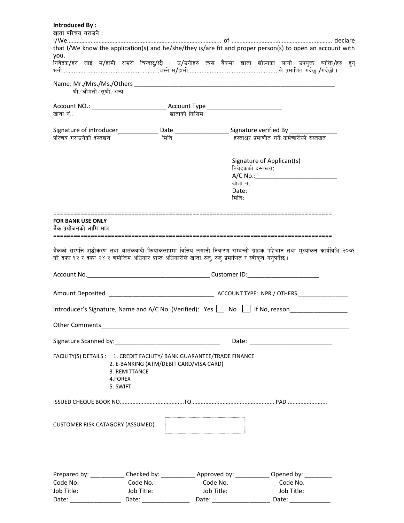#### Introduced By : खाता परिचय गराउने :

|                                                       |                                      | that I/We know the application(s) and he/she/they is/are fit and proper person(s) to open an account with                                                                                                                                                                                                                                                                                                                                                                 |                                                                                                                                                                                                                                |                                               |                                            |  |
|-------------------------------------------------------|--------------------------------------|---------------------------------------------------------------------------------------------------------------------------------------------------------------------------------------------------------------------------------------------------------------------------------------------------------------------------------------------------------------------------------------------------------------------------------------------------------------------------|--------------------------------------------------------------------------------------------------------------------------------------------------------------------------------------------------------------------------------|-----------------------------------------------|--------------------------------------------|--|
| you.                                                  |                                      | निवेदक/हरु लाई म/हामी राम्ररी चिन्दछु/छौँ । उ/उनीहरु त्यस बैंकमा खाता खोल्नका लागी उपयुक्त व्यक्ति/हरु हुन्                                                                                                                                                                                                                                                                                                                                                               |                                                                                                                                                                                                                                |                                               |                                            |  |
|                                                       |                                      |                                                                                                                                                                                                                                                                                                                                                                                                                                                                           |                                                                                                                                                                                                                                |                                               |                                            |  |
| श्री ⁄ श्रीमती ⁄ स्×ी ⁄ अन्य                          |                                      |                                                                                                                                                                                                                                                                                                                                                                                                                                                                           |                                                                                                                                                                                                                                |                                               |                                            |  |
|                                                       |                                      | Account NO.: ___________________________________Account Type ____________________                                                                                                                                                                                                                                                                                                                                                                                         |                                                                                                                                                                                                                                |                                               |                                            |  |
| खाता नं∴                                              |                                      | खाताको किसिम                                                                                                                                                                                                                                                                                                                                                                                                                                                              |                                                                                                                                                                                                                                |                                               |                                            |  |
|                                                       |                                      | Signature of introducer________________Date _______________________Signature verified By ___________                                                                                                                                                                                                                                                                                                                                                                      |                                                                                                                                                                                                                                |                                               |                                            |  |
| परिचय गराउनेको दस्तखत                                 |                                      | मिति                                                                                                                                                                                                                                                                                                                                                                                                                                                                      |                                                                                                                                                                                                                                |                                               | हस्ताक्षर प्रमाणीत गर्ने कर्मचारीको दस्तखत |  |
|                                                       |                                      |                                                                                                                                                                                                                                                                                                                                                                                                                                                                           |                                                                                                                                                                                                                                | Signature of Applicant(s)<br>निवेदकको दस्तखत: |                                            |  |
|                                                       |                                      |                                                                                                                                                                                                                                                                                                                                                                                                                                                                           |                                                                                                                                                                                                                                | खाता नं.                                      |                                            |  |
|                                                       |                                      |                                                                                                                                                                                                                                                                                                                                                                                                                                                                           |                                                                                                                                                                                                                                | Date:<br>मिति:                                |                                            |  |
| ======================                                |                                      |                                                                                                                                                                                                                                                                                                                                                                                                                                                                           |                                                                                                                                                                                                                                |                                               |                                            |  |
| <b>FOR BANK USE ONLY</b><br>बैंक प्रयोजनको लागि मात्र |                                      |                                                                                                                                                                                                                                                                                                                                                                                                                                                                           |                                                                                                                                                                                                                                |                                               |                                            |  |
|                                                       |                                      | बैंकको सम्पत्ति शुद्धीकरण तथा आतंकवादी कियाकलापमा वित्तिय लगानी निवारण सम्बन्धी ग्राहक पहिचान तथा मुल्यांकन कार्यविधि २०७१<br>को दफा १२ र दफा २४.२ बमोजिम अधिकार प्राप्त अधिकारीले खाता रुज्, रुज् प्रमाणित र स्वीकृत गर्नुपर्नेछ ।<br>Account No. <b>Example 20</b> Second 19 Second 20 Second 20 Second 20 Second 20 Second 20 Second 20 Second 20 Second 20 Second 20 Second 20 Second 20 Second 20 Second 20 Second 20 Second 20 Second 20 Second 20 Second 20 Second |                                                                                                                                                                                                                                |                                               |                                            |  |
|                                                       |                                      |                                                                                                                                                                                                                                                                                                                                                                                                                                                                           |                                                                                                                                                                                                                                |                                               |                                            |  |
|                                                       |                                      | Introducer's Signature, Name and A/C No. (Verified): Yes $\Box$ No $\Box$ if No, reason                                                                                                                                                                                                                                                                                                                                                                                   |                                                                                                                                                                                                                                |                                               |                                            |  |
|                                                       |                                      |                                                                                                                                                                                                                                                                                                                                                                                                                                                                           |                                                                                                                                                                                                                                |                                               |                                            |  |
|                                                       |                                      |                                                                                                                                                                                                                                                                                                                                                                                                                                                                           |                                                                                                                                                                                                                                |                                               |                                            |  |
|                                                       | 3. REMITTANCE<br>4.FOREX<br>5. SWIFT | FACILITY(S) DETAILS : 1. CREDIT FACILITY/ BANK GUARANTEE/TRADE FINANCE<br>2. E-BANKING (ATM/DEBIT CARD/VISA CARD)                                                                                                                                                                                                                                                                                                                                                         |                                                                                                                                                                                                                                |                                               |                                            |  |
|                                                       |                                      |                                                                                                                                                                                                                                                                                                                                                                                                                                                                           |                                                                                                                                                                                                                                |                                               |                                            |  |
| <b>CUSTOMER RISK CATAGORY (ASSUMED)</b>               |                                      |                                                                                                                                                                                                                                                                                                                                                                                                                                                                           |                                                                                                                                                                                                                                |                                               |                                            |  |
|                                                       |                                      | Prepared by: ____________ Checked by: _____________ Approved by: ____________ Opened by: _________                                                                                                                                                                                                                                                                                                                                                                        |                                                                                                                                                                                                                                |                                               |                                            |  |
| Code No.                                              |                                      | Code No.                                                                                                                                                                                                                                                                                                                                                                                                                                                                  | Code No.                                                                                                                                                                                                                       |                                               | Code No.                                   |  |
| Job Title:                                            |                                      | Job Title:                                                                                                                                                                                                                                                                                                                                                                                                                                                                | Job Title:                                                                                                                                                                                                                     |                                               | Job Title:                                 |  |
| Date:                                                 | Date:                                |                                                                                                                                                                                                                                                                                                                                                                                                                                                                           | Date: the contract of the contract of the contract of the contract of the contract of the contract of the contract of the contract of the contract of the contract of the contract of the contract of the contract of the cont |                                               | Date:                                      |  |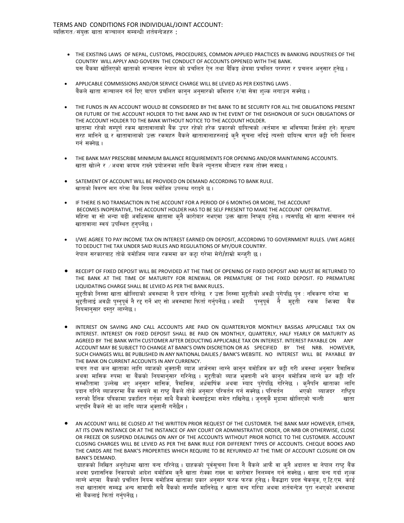- THE EXISTING LAWS OF NEPAL, CUSTOMS, PROCEDURES, COMMON APPLIED PRACTICES IN BANKING INDUSTRIES OF THE COUNTRY WILL APPLY AND GOVERN THE CONDUCT OF ACCOUNTS OPPENED WITH THE BANK. यस बैंकमा खोलिएको खाताको सञ्चालन नेपाल को प्रचलित ऐन तथा बैंकिङ्ग क्षेत्रमा प्रचलित परम्परा र प्रचलन अनुसार हनेछ।
- APPLICABLE COMMISSIONS AND/OR SERVICE CHARGE WILL BE LEVIED AS PER EXISTING LAWS . बैंकले खाता सञ्चालन गर्न दिए बापत प्रचलित कानुन अनुसारको कमिशन र/वा सेवा शुल्क लगाउन सक्नेछ ।
- THE FUNDS IN AN ACCOUNT WOULD BE CONSIDERED BY THE BANK TO BE SECURITY FOR ALL THE OBLIGATIONS PRESENT OR FUTURE OF THE ACCOUNT HOLDER TO THE BANK AND IN THE EVENT OF THE DISHONOUR OF SUCH OBLIGATIONS OF THE ACCOUNT HOLDER TO THE BANK WITHOUT NOTICE TO THE ACCOUNT HOLDER. खातामा रहेको सम्पूर्ण रकम खातावालाको बैंक उपर रहेको हरेक प्रकारको दायित्वको (वर्तमान वा भविष्यमा सिर्जना हुने) सुरक्षण सरह मानिने छ र खातावालाको उक्त रकमहरु बैंकले खातावालाहरुलाई कुनै सुचना नदिई त्यस्तो दायित्व वापत कट्टी गरी मिलान गर्न सक्नेछ ।
- THE BANK MAY PRESCRIBE MINIMUM BALANCE REQUIREMENTS FOR OPENING AND/OR MAINTAINING ACCOUNTS. खाता खोल्ने र ⁄अथवा कायम राख्ने प्रयोजनका लागि बैंकले न्युनतम मौज्दात रकम तोक्न सक्दछ ।
- SATEMENT OF ACCOUNT WILL BE PROVIDED ON DEMAND ACCORDING TO BANK RULE. खाताको विवरण माग गरेमा बैंक नियम बमोजिम उपलब्ध गराइने छ।
- IF THERE IS NO TRANSACTION IN THE ACCOUNT FOR A PERIOD OF 6 MONTHS OR MORE, THE ACCOUNT BECOMES INOPERATIVE, THE ACCOUNT HOLDER HAS TO BE SELF PRESENT TO MAKE THE ACCOUNT OPERATIVE. महिना वा सो भन्दा बढी अवधिसम्म खातामा कृनै कारोबार नभएमा उक्त खाता निष्कुय हुनेछ । त्यसपछि सो खाता संचालन गर्न खातावाला स्वयं उपस्थित हनपर्नेछ ।
- I/WE AGREE TO PAY INCOME TAX ON INTEREST EARNED ON DEPOSIT, ACCORDING TO GOVERNMENT RULES. I/WE AGREE TO DEDUCT THE TAX UNDER SAID RULES AND REGULATIONS OF MY/OUR COUNTRY. नेपाल सरकारबाट तोके बमोजिम ब्याज रकममा कर कट्टा गरेमा मेरो/हाम्रो मन्जुरी छ।
- RECEIPT OF FIXED DEPOSIT WILL BE PROVIDED AT THE TIME OF OPENING OF FIXED DEPOSIT AND MUST BE RETURNED TO THE BANK AT THE TIME OF MATURITY FOR RENEWAL OR PREMATURE OF THE FIXED DEPOSIT. FD PREMATURE LIQUIDATING CHARGE SHALL BE LEVIED AS PER THE BANK RULES. मुद्दतीको निस्सा खाता खोलिदाको अवस्थामा नै प्रदान गरिनेछ र उक्त निस्सा मुद्दतीको अवधी पुगेपछि पुन : नविकरण गरेमा वा मुद्दतीलाई अवधी पुग्नुपूर्व नै रद्द गर्ने भए सो अवस्थामा फिर्ता गर्नुपर्नेछ । अवधी <sup>ं</sup> पुग्नुपूर्व नै मुद्दती रकम फिक्दा बैंक नियमानुसार दस्तुर लाग्नेछ ।
- INTEREST ON SAVING AND CALL ACCOUNTS ARE PAID ON QUARTERLYOR MONTHLY BASISAS APPLICABLE TAX ON INTEREST. INTEREST ON FIXED DEPOSIT SHALL BE PAID ON MONTHLY, QUARTERLY, HALF YEARLY OR MATURITY AS AGREED BY THE BANK WITH CUSTOMER AFTER DEDUCTING APPLICABLE TAX ON INTEREST. INTEREST PAYABLE ON ANY ACCOUNT MAY BE SUBJECT TO CHANGE AT BANK'S OWN DISCRETION OR AS SPECIFIED BY THE NRB. HOWEVER, SUCH CHANGES WILL BE PUBLISHED IN ANY NATIONAL DAILIES / BANK'S WEBSITE. NO INTEREST WILL BE PAYABLE BY THE BANK ON CURRENT ACCOUNTS IN ANY CURRENCY. बचत तथा कल खाताका लागि ब्याजको भुक्तानी ब्याज आर्जनमा लाग्ने कानुन बमोजिम कर कट्टी गरी अवस्था अनुसार त्रैमासिक

अथवा मासिक रुपमा वा बैंकको नियमानुसार गरिनेछ । मुहतीको ब्याज भुक्तानी भने कानुन बमोजिम लाग्ने कर कट्टी गरि सम्भौतामा उल्लेख भए अनुसार मासिक, त्रैमासिक, अर्धवार्षिक अथवा म्याद पुगेपछि गरिनेछ । कुनैपनि खाताका लागि प्रदान गरिने ब्याजदरमा बैंक स्वयंले वा राष्ट् बैंकले तोके अनुसार परिवर्तन गर्न सक्नेछ । परिवर्तन भएको ब्याजदर राष्ट्रिय स्तरको दैनिक पत्रिकामा प्रकाशित गर्नुका साथै बैंकको वेभसाईटमा समेत राखिनेछ । जनसुकै मुद्रामा खोलिएको चल्ती खाता भएपनि बैंकले सो का लागि ब्याज भक्तानी गर्नेछैन।

 AN ACCOUNT WILL BE CLOSED AT THE WRITTEN PRIOR REQUEST OF THE CUSTOMER. THE BANK MAY HOWEVER, EITHER, AT ITS OWN INSTANCE OR AT THE INSTANCE OF ANY COURT OR ADMINISTRATIVE ORDER, OR NRB OR OTHERWISE, CLOSE OR FREEZE OR SUSPEND DEALINGS ON ANY OF THE ACCOUNTS WITHOUT PRIOR NOTICE TO THE CUSTOMER. ACCOUNT CLOSING CHARGES WILL BE LEVIED AS PER THE BANK RULE FOR DIFFERENT TYPES OF ACCOUNTS. CHEQUE BOOKS AND THE CARDS ARE THE BANK'S PROPERTIES WHICH REQUIRE TO BE REYURNED AT THE TIME OF ACCOUNT CLOSURE OR ON BANK'S DEMAND.

ग्राहकको लिखित अन्रोधमा खाता बन्द गरिनेछ । ग्राहकको पूर्वसूचना बिना नै बैंकले आफै वा क्नै अदालत वा नेपाल राष्ट् बैंक अथवा प्रशासनिक निकायको आदेश बमोजिम कुनै खाता रोक्का राख्न वा कारोवार निलम्बन गर्न सक्नेछ । खाता बन्द गर्दा शुल्क लाग्ने भएमा बैंकको प्रचलित नियम बमोजिम खाताका प्रकार अनुसार फरक फरक हुनेछ । बैंकद्वारा प्रदत्त चेकबुक, ए.टि.एम. कार्ड तथा खातासंग सम्बद्ध अन्य सामाग्री सबै बैंकको सम्पत्ति मानिनेछ र खाता बन्द गरिँदा अथवा शर्तबन्देज पुरा नभएको अवस्थामा सो बैंकलाई फिर्ता गर्नपर्नेछ ।